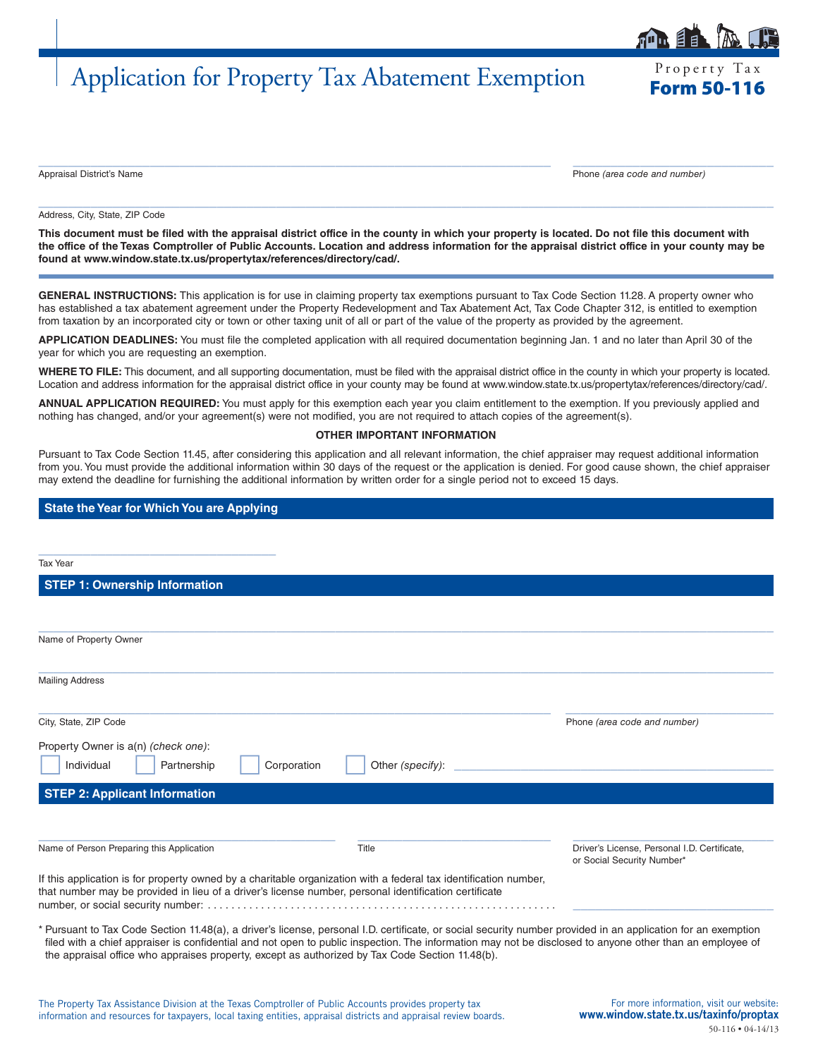# Application for Property Tax Abatement Exemption

Property Tax

Appraisal District's Name Phone *(area code and number)*

Address, City, State, ZIP Code

**This document must be filed with the appraisal district office in the county in which your property is located. Do not file this document with the office of the Texas Comptroller of Public Accounts. Location and address information for the appraisal district office in your county may be found at www.window.state.tx.us/propertytax/references/directory/cad/.**

 $\_$  ,  $\_$  ,  $\_$  ,  $\_$  ,  $\_$  ,  $\_$  ,  $\_$  ,  $\_$  ,  $\_$  ,  $\_$  ,  $\_$  ,  $\_$  ,  $\_$  ,  $\_$  ,  $\_$  ,  $\_$  ,  $\_$  ,  $\_$  ,  $\_$  ,  $\_$  ,  $\_$  ,  $\_$  ,  $\_$  ,  $\_$  ,  $\_$  ,  $\_$  ,  $\_$  ,  $\_$  ,  $\_$  ,  $\_$  ,  $\_$  ,  $\_$  ,  $\_$  ,  $\_$  ,  $\_$  ,  $\_$  ,  $\_$  ,

 $\_$  , and the set of the set of the set of the set of the set of the set of the set of the set of the set of the set of the set of the set of the set of the set of the set of the set of the set of the set of the set of th

**GENERAL INSTRUCTIONS:** This application is for use in claiming property tax exemptions pursuant to Tax Code Section 11.28. A property owner who has established a tax abatement agreement under the Property Redevelopment and Tax Abatement Act, Tax Code Chapter 312, is entitled to exemption from taxation by an incorporated city or town or other taxing unit of all or part of the value of the property as provided by the agreement.

**APPLICATION DEADLINES:** You must file the completed application with all required documentation beginning Jan. 1 and no later than April 30 of the year for which you are requesting an exemption.

**WHERE TO FILE:** This document, and all supporting documentation, must be filed with the appraisal district office in the county in which your property is located. Location and address information for the appraisal district office in your county may be found at www.window.state.tx.us/propertytax/references/directory/cad/.

**ANNUAL APPLICATION REQUIRED:** You must apply for this exemption each year you claim entitlement to the exemption. If you previously applied and nothing has changed, and/or your agreement(s) were not modified, you are not required to attach copies of the agreement(s).

#### **OTHER IMPORTANT INFORMATION**

Pursuant to Tax Code Section 11.45, after considering this application and all relevant information, the chief appraiser may request additional information from you. You must provide the additional information within 30 days of the request or the application is denied. For good cause shown, the chief appraiser may extend the deadline for furnishing the additional information by written order for a single period not to exceed 15 days.

## **State the Year for Which You are Applying**

\_\_\_\_\_\_\_\_\_\_\_\_\_\_\_\_\_\_\_\_\_\_\_\_\_\_\_\_\_\_\_\_

Tax Year

**STEP 1: Ownership Information**

|                                                                                                                                                                                                                           | Phone (area code and number)                                               |
|---------------------------------------------------------------------------------------------------------------------------------------------------------------------------------------------------------------------------|----------------------------------------------------------------------------|
|                                                                                                                                                                                                                           |                                                                            |
| Other (specify):                                                                                                                                                                                                          |                                                                            |
|                                                                                                                                                                                                                           |                                                                            |
|                                                                                                                                                                                                                           |                                                                            |
| Title                                                                                                                                                                                                                     | Driver's License, Personal I.D. Certificate,<br>or Social Security Number* |
| If this application is for property owned by a charitable organization with a federal tax identification number,<br>that number may be provided in lieu of a driver's license number, personal identification certificate |                                                                            |
|                                                                                                                                                                                                                           |                                                                            |

\* Pursuant to Tax Code Section 11.48(a), a driver's license, personal I.D. certificate, or social security number provided in an application for an exemption filed with a chief appraiser is confidential and not open to public inspection. The information may not be disclosed to anyone other than an employee of the appraisal office who appraises property, except as authorized by Tax Code Section 11.48(b).